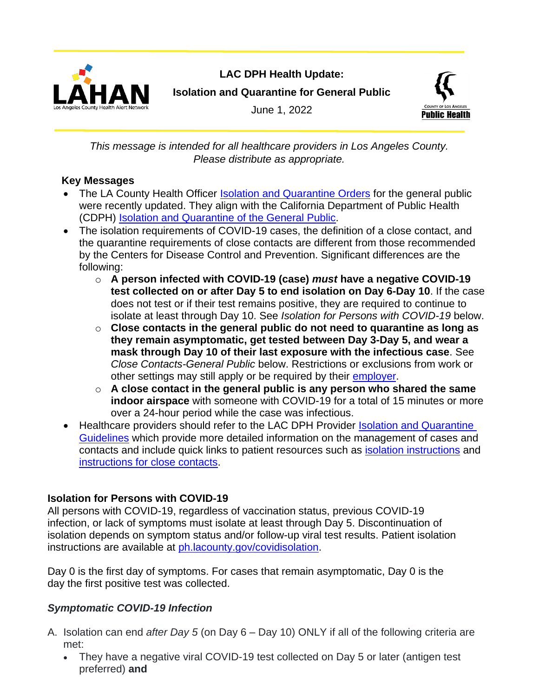

# **LAC DPH Health Update: Isolation and Quarantine for General Public**

June 1, 2022



*This message is intended for all healthcare providers in Los Angeles County. Please distribute as appropriate.*

### **Key Messages**

- The LA County Health Officer [Isolation and Quarantine Orders](http://publichealth.lacounty.gov/media/Coronavirus/reopening-la.htm#quarantine) for the general public were recently updated. They align with the California Department of Public Health (CDPH) [Isolation and Quarantine of the General Public.](https://www.cdph.ca.gov/Programs/CID/DCDC/Pages/COVID-19/Guidance-on-Isolation-and-Quarantine-for-COVID-19-Contact-Tracing.aspx)
- The isolation requirements of COVID-19 cases, the definition of a close contact, and the quarantine requirements of close contacts are different from those recommended by the Centers for Disease Control and Prevention. Significant differences are the following:
	- o **A person infected with COVID-19 (case)** *must* **have a negative COVID-19 test collected on or after Day 5 to end isolation on Day 6-Day 10**. If the case does not test or if their test remains positive, they are required to continue to isolate at least through Day 10. See *Isolation for Persons with COVID-19* below.
	- o **Close contacts in the general public do not need to quarantine as long as they remain asymptomatic, get tested between Day 3-Day 5, and wear a mask through Day 10 of their last exposure with the infectious case**. See *Close Contacts-General Public* below. Restrictions or exclusions from work or other settings may still apply or be required by their [employer.](https://www.dir.ca.gov/dosh/coronavirus/covid19faqs.html)
	- o **A close contact in the general public is any person who shared the same indoor airspace** with someone with COVID-19 for a total of 15 minutes or more over a 24-hour period while the case was infectious.
- Healthcare providers should refer to the LAC DPH Provider [Isolation and Quarantine](https://publichealth.lacounty.gov/acd/ncorona2019/isolationquarantine/)  [Guidelines](https://publichealth.lacounty.gov/acd/ncorona2019/isolationquarantine/) which provide more detailed information on the management of cases and contacts and include quick links to patient resources such as [isolation instructions](http://publichealth.lacounty.gov/acd/ncorona2019/covidisolation/) and [instructions for close contacts.](http://publichealth.lacounty.gov/acd/ncorona2019/covidquarantine/)

## **Isolation for Persons with COVID-19**

All persons with COVID-19, regardless of vaccination status, previous COVID-19 infection, or lack of symptoms must isolate at least through Day 5. Discontinuation of isolation depends on symptom status and/or follow-up viral test results. Patient isolation instructions are available at [ph.lacounty.gov/covidisolation.](http://publichealth.lacounty.gov/acd/ncorona2019/covidisolation/)

Day 0 is the first day of symptoms. For cases that remain asymptomatic, Day 0 is the day the first positive test was collected.

## *Symptomatic COVID-19 Infection*

- A. Isolation can end *after Day 5* (on Day 6 Day 10) ONLY if all of the following criteria are met:
	- They have a negative viral COVID-19 test collected on Day 5 or later (antigen test preferred) **and**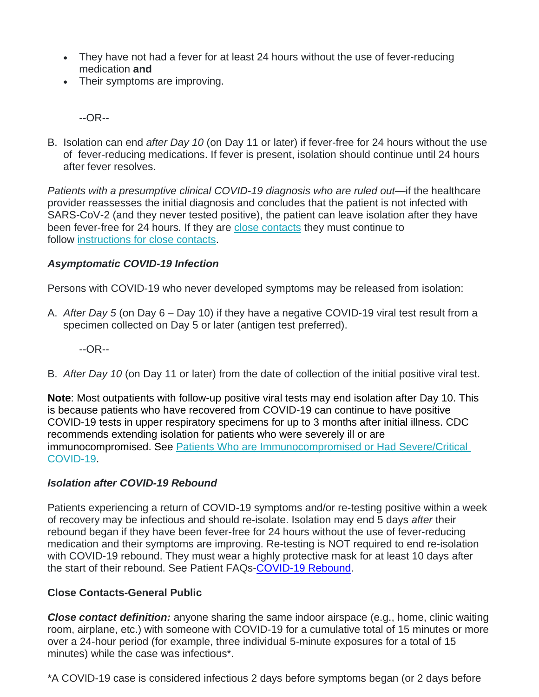- They have not had a fever for at least 24 hours without the use of fever-reducing medication **and**
- Their symptoms are improving.

--OR--

B. Isolation can end *after Day 10* (on Day 11 or later) if fever-free for 24 hours without the use of fever-reducing medications. If fever is present, isolation should continue until 24 hours after fever resolves.

*Patients with a presumptive clinical COVID-19 diagnosis who are ruled out*—if the healthcare provider reassesses the initial diagnosis and concludes that the patient is not infected with SARS-CoV-2 (and they never tested positive), the patient can leave isolation after they have been fever-free for 24 hours. If they are [close contacts](http://publichealth.lacounty.gov/acd/ncorona2019/isolationquarantine/) they must continue to follow [instructions for close contacts.](http://publichealth.lacounty.gov/acd/ncorona2019/covidquarantine/)

#### *Asymptomatic COVID-19 Infection*

Persons with COVID-19 who never developed symptoms may be released from isolation:

A. *After Day 5* (on Day 6 – Day 10) if they have a negative COVID-19 viral test result from a specimen collected on Day 5 or later (antigen test preferred).

--OR--

B. *After Day 10* (on Day 11 or later) from the date of collection of the initial positive viral test.

**Note**: Most outpatients with follow-up positive viral tests may end isolation after Day 10. This is because patients who have recovered from COVID-19 can continue to have positive COVID-19 tests in upper respiratory specimens for up to 3 months after initial illness. CDC recommends extending isolation for patients who were severely ill or are immunocompromised. See [Patients Who are Immunocompromised or Had Severe/Critical](http://publichealth.lacounty.gov/acd/ncorona2019/isolationquarantine/#severeillnessandimmunocompromise)  [COVID-19.](http://publichealth.lacounty.gov/acd/ncorona2019/isolationquarantine/#severeillnessandimmunocompromise)

#### *Isolation after COVID-19 Rebound*

Patients experiencing a return of COVID-19 symptoms and/or re-testing positive within a week of recovery may be infectious and should re-isolate. Isolation may end 5 days *after* their rebound began if they have been fever-free for 24 hours without the use of fever-reducing medication and their symptoms are improving. Re-testing is NOT required to end re-isolation with COVID-19 rebound. They must wear a highly protective mask for at least 10 days after the start of their rebound. See Patient FAQs[-COVID-19 Rebound.](http://publichealth.lacounty.gov/acd/ncorona2019/docs/COVID19Rebound.pdf)

### **Close Contacts-General Public**

*Close contact definition:* anyone sharing the same indoor airspace (e.g., home, clinic waiting room, airplane, etc.) with someone with COVID-19 for a cumulative total of 15 minutes or more over a 24-hour period (for example, three individual 5-minute exposures for a total of 15 minutes) while the case was infectious\*.

\*A COVID-19 case is considered infectious 2 days before symptoms began (or 2 days before